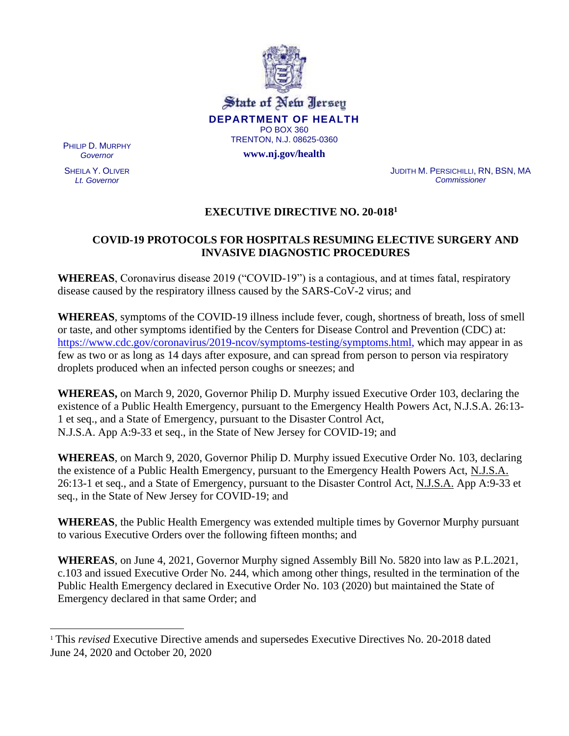

State of New Jersey **DEPARTMENT OF HEALTH** PO BOX 360 TRENTON, N.J. 08625-0360

**www.nj.gov/health**

PHILIP D. MURPHY *Governor*

SHEILA Y. OLIVER *Lt. Governor*

JUDITH M. PERSICHILLI, RN, BSN, MA *Commissioner*

# **EXECUTIVE DIRECTIVE NO. 20-018<sup>1</sup>**

# **COVID-19 PROTOCOLS FOR HOSPITALS RESUMING ELECTIVE SURGERY AND INVASIVE DIAGNOSTIC PROCEDURES**

**WHEREAS**, Coronavirus disease 2019 ("COVID-19") is a contagious, and at times fatal, respiratory disease caused by the respiratory illness caused by the SARS-CoV-2 virus; and

**WHEREAS**, symptoms of the COVID-19 illness include fever, cough, shortness of breath, loss of smell or taste, and other symptoms identified by the Centers for Disease Control and Prevention (CDC) at: [https://www.cdc.gov/coronavirus/2019-ncov/symptoms-testing/symptoms.html, w](https://www.cdc.gov/coronavirus/2019-ncov/symptoms-testing/symptoms.html)hich may appear in as few as two or as long as 14 days after exposure, and can spread from person to person via respiratory droplets produced when an infected person coughs or sneezes; and

**WHEREAS,** on March 9, 2020, Governor Philip D. Murphy issued Executive Order 103, declaring the existence of a Public Health Emergency, pursuant to the Emergency Health Powers Act, N.J.S.A. 26:13- 1 et seq., and a State of Emergency, pursuant to the Disaster Control Act, N.J.S.A. App A:9-33 et seq., in the State of New Jersey for COVID-19; and

**WHEREAS**, on March 9, 2020, Governor Philip D. Murphy issued Executive Order No. 103, declaring the existence of a Public Health Emergency, pursuant to the Emergency Health Powers Act, N.J.S.A. 26:13-1 et seq., and a State of Emergency, pursuant to the Disaster Control Act, N.J.S.A. App A:9-33 et seq., in the State of New Jersey for COVID-19; and

**WHEREAS**, the Public Health Emergency was extended multiple times by Governor Murphy pursuant to various Executive Orders over the following fifteen months; and

**WHEREAS**, on June 4, 2021, Governor Murphy signed Assembly Bill No. 5820 into law as P.L.2021, c.103 and issued Executive Order No. 244, which among other things, resulted in the termination of the Public Health Emergency declared in Executive Order No. 103 (2020) but maintained the State of Emergency declared in that same Order; and

<sup>1</sup> This *revised* Executive Directive amends and supersedes Executive Directives No. 20-2018 dated June 24, 2020 and October 20, 2020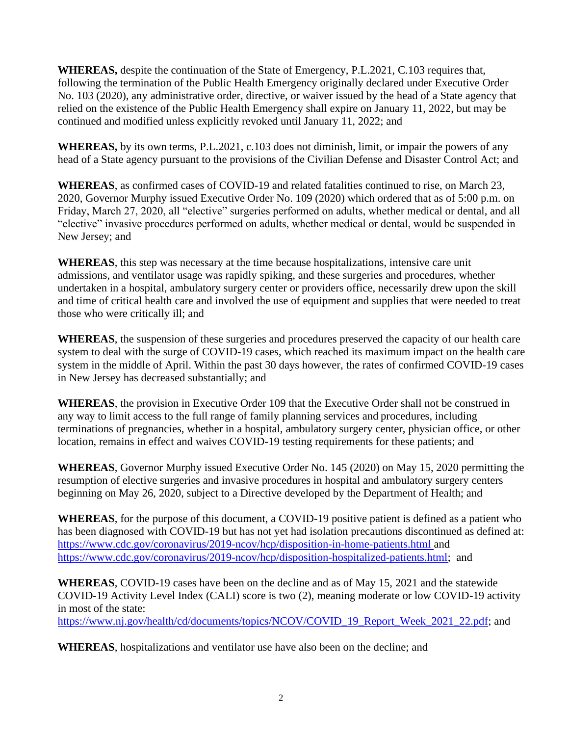**WHEREAS,** despite the continuation of the State of Emergency, P.L.2021, C.103 requires that, following the termination of the Public Health Emergency originally declared under Executive Order No. 103 (2020), any administrative order, directive, or waiver issued by the head of a State agency that relied on the existence of the Public Health Emergency shall expire on January 11, 2022, but may be continued and modified unless explicitly revoked until January 11, 2022; and

**WHEREAS,** by its own terms, P.L.2021, c.103 does not diminish, limit, or impair the powers of any head of a State agency pursuant to the provisions of the Civilian Defense and Disaster Control Act; and

**WHEREAS**, as confirmed cases of COVID-19 and related fatalities continued to rise, on March 23, 2020, Governor Murphy issued Executive Order No. 109 (2020) which ordered that as of 5:00 p.m. on Friday, March 27, 2020, all "elective" surgeries performed on adults, whether medical or dental, and all "elective" invasive procedures performed on adults, whether medical or dental, would be suspended in New Jersey; and

**WHEREAS**, this step was necessary at the time because hospitalizations, intensive care unit admissions, and ventilator usage was rapidly spiking, and these surgeries and procedures, whether undertaken in a hospital, ambulatory surgery center or providers office, necessarily drew upon the skill and time of critical health care and involved the use of equipment and supplies that were needed to treat those who were critically ill; and

**WHEREAS**, the suspension of these surgeries and procedures preserved the capacity of our health care system to deal with the surge of COVID-19 cases, which reached its maximum impact on the health care system in the middle of April. Within the past 30 days however, the rates of confirmed COVID-19 cases in New Jersey has decreased substantially; and

**WHEREAS**, the provision in Executive Order 109 that the Executive Order shall not be construed in any way to limit access to the full range of family planning services and procedures, including terminations of pregnancies, whether in a hospital, ambulatory surgery center, physician office, or other location, remains in effect and waives COVID-19 testing requirements for these patients; and

**WHEREAS**, Governor Murphy issued Executive Order No. 145 (2020) on May 15, 2020 permitting the resumption of elective surgeries and invasive procedures in hospital and ambulatory surgery centers beginning on May 26, 2020, subject to a Directive developed by the Department of Health; and

**WHEREAS**, for the purpose of this document, a COVID-19 positive patient is defined as a patient who has been diagnosed with COVID-19 but has not yet had isolation precautions discontinued as defined at: <https://www.cdc.gov/coronavirus/2019-ncov/hcp/disposition-in-home->[patients.html a](file:///C:/Users/jhernandez/AppData/Local/Microsoft/Windows/INetCache/Content.Outlook/TAKEWNOL/patients.html)nd [https://www.cdc.gov/coronavirus/2019-ncov/hcp/disposition-hospitalized-patients.html;](https://www.cdc.gov/coronavirus/2019-ncov/hcp/disposition-hospitalized-patients.html) and

**WHEREAS**, COVID-19 cases have been on the decline and as of May 15, 2021 and the statewide COVID-19 Activity Level Index (CALI) score is two (2), meaning moderate or low COVID-19 activity in most of the state:

[https://www.nj.gov/health/cd/documents/topics/NCOV/COVID\\_19\\_Report\\_Week\\_2021\\_22.pdf;](https://www.nj.gov/health/cd/documents/topics/NCOV/COVID_19_Report_Week_2021_22.pdf) and

**WHEREAS**, hospitalizations and ventilator use have also been on the decline; and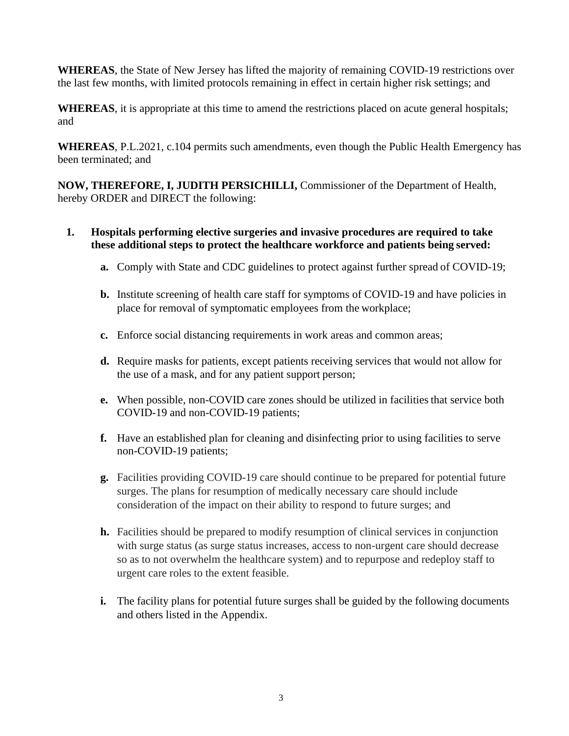**WHEREAS**, the State of New Jersey has lifted the majority of remaining COVID-19 restrictions over the last few months, with limited protocols remaining in effect in certain higher risk settings; and

**WHEREAS**, it is appropriate at this time to amend the restrictions placed on acute general hospitals; and

**WHEREAS**, P.L.2021, c.104 permits such amendments, even though the Public Health Emergency has been terminated; and

**NOW, THEREFORE, I, JUDITH PERSICHILLI,** Commissioner of the Department of Health, hereby ORDER and DIRECT the following:

# **1. Hospitals performing elective surgeries and invasive procedures are required to take these additional steps to protect the healthcare workforce and patients being served:**

- **a.** Comply with State and CDC guidelines to protect against further spread of COVID-19;
- **b.** Institute screening of health care staff for symptoms of COVID-19 and have policies in place for removal of symptomatic employees from the workplace;
- **c.** Enforce social distancing requirements in work areas and common areas;
- **d.** Require masks for patients, except patients receiving services that would not allow for the use of a mask, and for any patient support person;
- **e.** When possible, non-COVID care zones should be utilized in facilities that service both COVID-19 and non-COVID-19 patients;
- **f.** Have an established plan for cleaning and disinfecting prior to using facilities to serve non-COVID-19 patients;
- **g.** Facilities providing COVID-19 care should continue to be prepared for potential future surges. The plans for resumption of medically necessary care should include consideration of the impact on their ability to respond to future surges; and
- **h.** Facilities should be prepared to modify resumption of clinical services in conjunction with surge status (as surge status increases, access to non-urgent care should decrease so as to not overwhelm the healthcare system) and to repurpose and redeploy staff to urgent care roles to the extent feasible.
- **i.** The facility plans for potential future surges shall be guided by the following documents and others listed in the Appendix.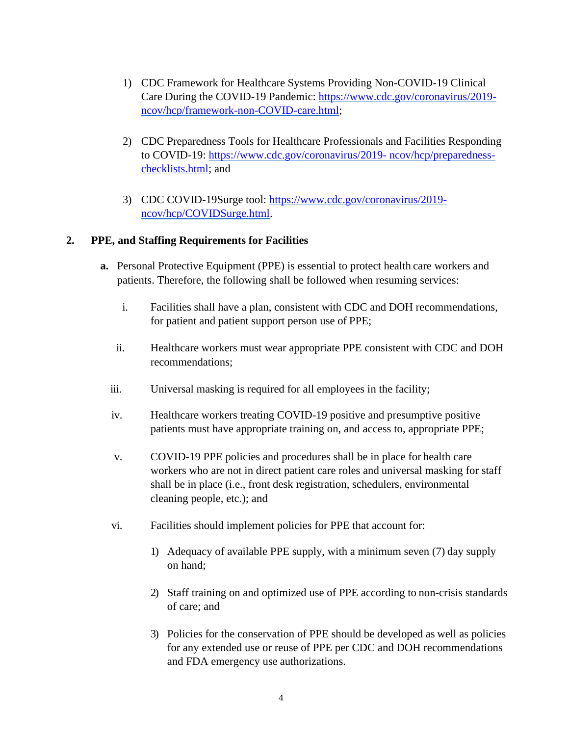- 1) CDC Framework for Healthcare Systems Providing Non-COVID-19 Clinical Care During the COVID-19 Pandemic: [https://www.cdc.gov/coronavirus/2019](https://www.cdc.gov/coronavirus/2019-ncov/hcp/framework-non-COVID-care.html) [ncov/hcp/framework-non-COVID-care.html;](https://www.cdc.gov/coronavirus/2019-ncov/hcp/framework-non-COVID-care.html)
- 2) CDC Preparedness Tools for Healthcare Professionals and Facilities Responding to COVID-19: [https://www.cdc.gov/coronavirus/2019-](https://www.cdc.gov/coronavirus/2019-ncov/hcp/preparedness-checklists.html) [ncov/hcp/preparedness](https://www.cdc.gov/coronavirus/2019-ncov/hcp/preparedness-checklists.html)[checklists.html;](https://www.cdc.gov/coronavirus/2019-ncov/hcp/preparedness-checklists.html) and
- 3) CDC COVID-19Surge tool: [https://www.cdc.gov/coronavirus/2019](https://www.cdc.gov/coronavirus/2019-ncov/hcp/COVIDSurge.html) [ncov/hcp/COVIDSurge.html.](https://www.cdc.gov/coronavirus/2019-ncov/hcp/COVIDSurge.html)

# **2. PPE, and Staffing Requirements for Facilities**

- **a.** Personal Protective Equipment (PPE) is essential to protect health care workers and patients. Therefore, the following shall be followed when resuming services:
	- i. Facilities shall have a plan, consistent with CDC and DOH recommendations, for patient and patient support person use of PPE;
	- ii. Healthcare workers must wear appropriate PPE consistent with CDC and DOH recommendations;
	- iii. Universal masking is required for all employees in the facility;
	- iv. Healthcare workers treating COVID-19 positive and presumptive positive patients must have appropriate training on, and access to, appropriate PPE;
	- v. COVID-19 PPE policies and procedures shall be in place for health care workers who are not in direct patient care roles and universal masking for staff shall be in place (i.e., front desk registration, schedulers, environmental cleaning people, etc.); and
	- vi. Facilities should implement policies for PPE that account for:
		- 1) Adequacy of available PPE supply, with a minimum seven (7) day supply on hand;
		- 2) Staff training on and optimized use of PPE according to non-crisis standards of care; and
		- 3) Policies for the conservation of PPE should be developed as well as policies for any extended use or reuse of PPE per CDC and DOH recommendations and FDA emergency use authorizations.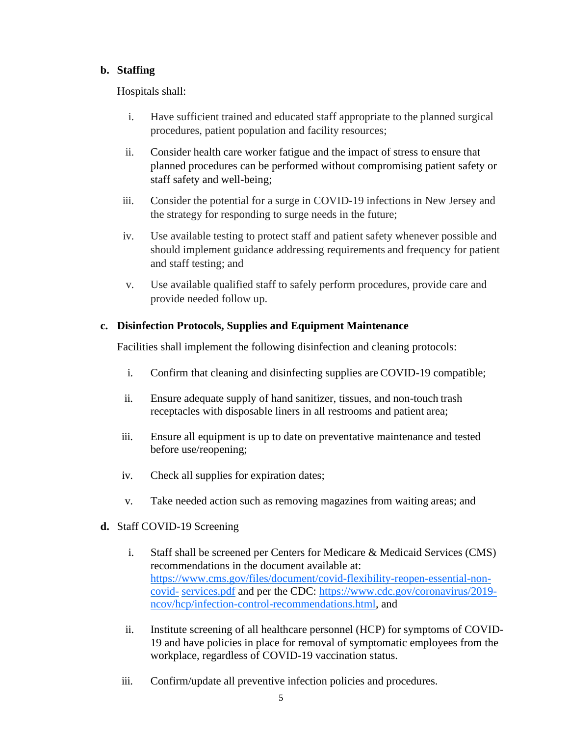# **b. Staffing**

Hospitals shall:

- i. Have sufficient trained and educated staff appropriate to the planned surgical procedures, patient population and facility resources;
- ii. Consider health care worker fatigue and the impact of stress to ensure that planned procedures can be performed without compromising patient safety or staff safety and well-being;
- iii. Consider the potential for a surge in COVID-19 infections in New Jersey and the strategy for responding to surge needs in the future;
- iv. Use available testing to protect staff and patient safety whenever possible and should implement guidance addressing requirements and frequency for patient and staff testing; and
- v. Use available qualified staff to safely perform procedures, provide care and provide needed follow up.

### **c. Disinfection Protocols, Supplies and Equipment Maintenance**

Facilities shall implement the following disinfection and cleaning protocols:

- i. Confirm that cleaning and disinfecting supplies are COVID-19 compatible;
- ii. Ensure adequate supply of hand sanitizer, tissues, and non-touch trash receptacles with disposable liners in all restrooms and patient area;
- iii. Ensure all equipment is up to date on preventative maintenance and tested before use/reopening;
- iv. Check all supplies for expiration dates;
- v. Take needed action such as removing magazines from waiting areas; and
- **d.** Staff COVID-19 Screening
	- i. Staff shall be screened per Centers for Medicare & Medicaid Services (CMS) recommendations in the document available at: [https://www.cms.gov/files/document/covid-flexibility-reopen-essential-non](https://www.cms.gov/files/document/covid-flexibility-reopen-essential-non-covid-services.pdf)[covid-](https://www.cms.gov/files/document/covid-flexibility-reopen-essential-non-covid-services.pdf) [services.pdf](https://www.cms.gov/files/document/covid-flexibility-reopen-essential-non-covid-services.pdf) and per the CDC: [https://www.cdc.gov/coronavirus/2019](https://www.cdc.gov/coronavirus/2019-ncov/hcp/infection-control-recommendations.html) [ncov/hcp/infection-control-recommendations.html,](https://www.cdc.gov/coronavirus/2019-ncov/hcp/infection-control-recommendations.html) and
	- ii. Institute screening of all healthcare personnel (HCP) for symptoms of COVID-19 and have policies in place for removal of symptomatic employees from the workplace, regardless of COVID-19 vaccination status.
	- iii. Confirm/update all preventive infection policies and procedures.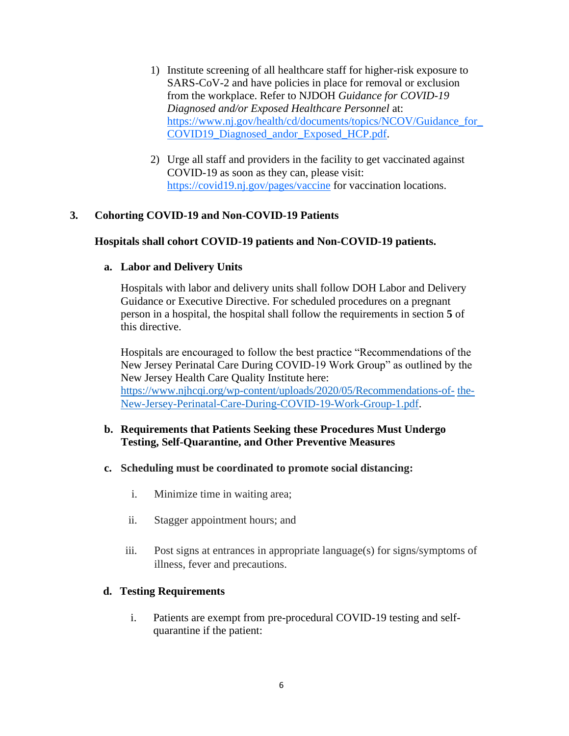- 1) Institute screening of all healthcare staff for higher-risk exposure to SARS-CoV-2 and have policies in place for removal or exclusion from the workplace. Refer to NJDOH *Guidance for COVID-19 Diagnosed and/or Exposed Healthcare Personnel* at: [https://www.nj.gov/health/cd/documents/topics/NCOV/Guidance\\_for\\_](https://www.nj.gov/health/cd/documents/topics/NCOV/Guidance_for_COVID19_Diagnosed_andor_Exposed_HCP.pdf) [COVID19\\_Diagnosed\\_andor\\_Exposed\\_HCP.pdf.](https://www.nj.gov/health/cd/documents/topics/NCOV/Guidance_for_COVID19_Diagnosed_andor_Exposed_HCP.pdf)
- 2) Urge all staff and providers in the facility to get vaccinated against COVID-19 as soon as they can, please visit: <https://covid19.nj.gov/pages/vaccine> for vaccination locations.

### **3. Cohorting COVID-19 and Non-COVID-19 Patients**

### **Hospitals shall cohort COVID-19 patients and Non-COVID-19 patients.**

#### **a. Labor and Delivery Units**

Hospitals with labor and delivery units shall follow DOH Labor and Delivery Guidance or Executive Directive. For scheduled procedures on a pregnant person in a hospital, the hospital shall follow the requirements in section **5** of this directive.

Hospitals are encouraged to follow the best practice "Recommendations of the New Jersey Perinatal Care During COVID-19 Work Group" as outlined by the New Jersey Health Care Quality Institute here:

[https://www.njhcqi.org/wp-content/uploads/2020/05/Recommendations-of-](https://www.njhcqi.org/wp-content/uploads/2020/05/Recommendations-of-the-New-Jersey-Perinatal-Care-During-COVID-19-Work-Group-1.pdf) [the-](https://www.njhcqi.org/wp-content/uploads/2020/05/Recommendations-of-the-New-Jersey-Perinatal-Care-During-COVID-19-Work-Group-1.pdf)[New-Jersey-Perinatal-Care-During-COVID-19-Work-Group-1.pdf.](https://www.njhcqi.org/wp-content/uploads/2020/05/Recommendations-of-the-New-Jersey-Perinatal-Care-During-COVID-19-Work-Group-1.pdf)

### **b. Requirements that Patients Seeking these Procedures Must Undergo Testing, Self-Quarantine, and Other Preventive Measures**

#### **c. Scheduling must be coordinated to promote social distancing:**

- i. Minimize time in waiting area;
- ii. Stagger appointment hours; and
- iii. Post signs at entrances in appropriate language(s) for signs/symptoms of illness, fever and precautions.

#### **d. Testing Requirements**

i. Patients are exempt from pre-procedural COVID-19 testing and selfquarantine if the patient: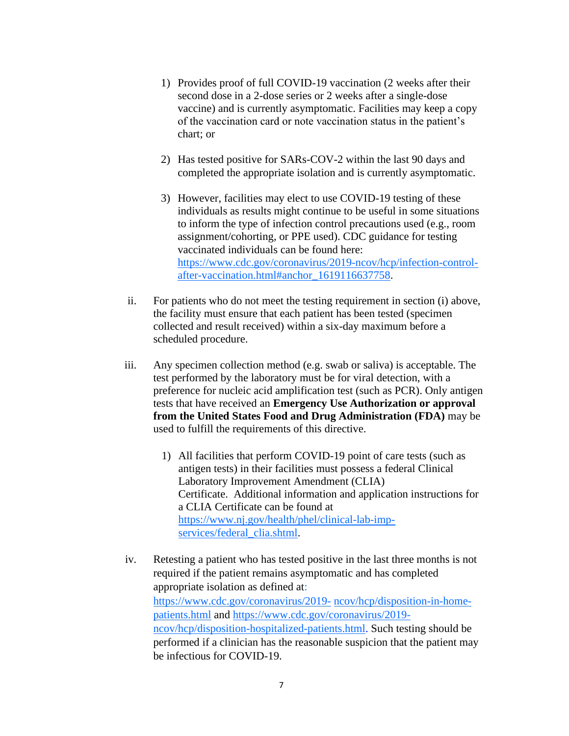- 1) Provides proof of full COVID-19 vaccination (2 weeks after their second dose in a 2-dose series or 2 weeks after a single-dose vaccine) and is currently asymptomatic. Facilities may keep a copy of the vaccination card or note vaccination status in the patient's chart; or
- 2) Has tested positive for SARs-COV-2 within the last 90 days and completed the appropriate isolation and is currently asymptomatic.
- 3) However, facilities may elect to use COVID-19 testing of these individuals as results might continue to be useful in some situations to inform the type of infection control precautions used (e.g., room assignment/cohorting, or PPE used). CDC guidance for testing vaccinated individuals can be found here: [https://www.cdc.gov/coronavirus/2019-ncov/hcp/infection-control](https://www.cdc.gov/coronavirus/2019-ncov/hcp/infection-control-after-vaccination.html#anchor_1619116637758)[after-vaccination.html#anchor\\_1619116637758.](https://www.cdc.gov/coronavirus/2019-ncov/hcp/infection-control-after-vaccination.html#anchor_1619116637758)
- ii. For patients who do not meet the testing requirement in section (i) above, the facility must ensure that each patient has been tested (specimen collected and result received) within a six-day maximum before a scheduled procedure.
- iii. Any specimen collection method (e.g. swab or saliva) is acceptable. The test performed by the laboratory must be for viral detection, with a preference for nucleic acid amplification test (such as PCR). Only antigen tests that have received an **Emergency Use Authorization or approval from the United States Food and Drug Administration (FDA)** may be used to fulfill the requirements of this directive.
	- 1) All facilities that perform COVID-19 point of care tests (such as antigen tests) in their facilities must possess a federal Clinical Laboratory Improvement Amendment (CLIA) Certificate. Additional information and application instructions for a CLIA Certificate can be found at [https://www.nj.gov/health/phel/clinical-lab-imp](https://www.nj.gov/health/phel/clinical-lab-imp-services/federal_clia.shtml)[services/federal\\_clia.shtml.](https://www.nj.gov/health/phel/clinical-lab-imp-services/federal_clia.shtml)
- iv. Retesting a patient who has tested positive in the last three months is not required if the patient remains asymptomatic and has completed appropriate isolation as defined at: [https://www.cdc.gov/coronavirus/2019-](https://www.cdc.gov/coronavirus/2019-ncov/hcp/disposition-in-home-patients.html) [ncov/hcp/disposition-in-home](https://www.cdc.gov/coronavirus/2019-ncov/hcp/disposition-in-home-patients.html)[patients.html](https://www.cdc.gov/coronavirus/2019-ncov/hcp/disposition-in-home-patients.html) and [https://www.cdc.gov/coronavirus/2019](https://www.cdc.gov/coronavirus/2019-ncov/hcp/disposition-hospitalized-patients.html) [ncov/hcp/disposition-hospitalized-patients.html.](https://www.cdc.gov/coronavirus/2019-ncov/hcp/disposition-hospitalized-patients.html) Such testing should be performed if a clinician has the reasonable suspicion that the patient may be infectious for COVID-19.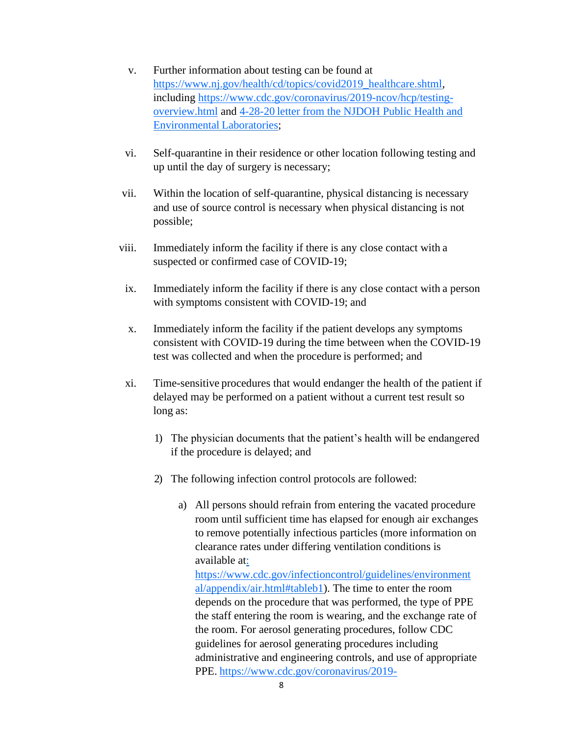- v. Further information about testing can be found at [https://www.nj.gov/health/cd/topics/covid2019\\_healthcare.shtml,](https://www.nj.gov/health/cd/topics/covid2019_healthcare.shtml) including [https://www.cdc.gov/coronavirus/2019-ncov/hcp/testing](https://www.cdc.gov/coronavirus/2019-ncov/hcp/testing-overview.html)[overview.html](https://www.cdc.gov/coronavirus/2019-ncov/hcp/testing-overview.html) and [4-28-20](https://www.nj.gov/health/cd/documents/topics/NCOV/COVID_SerologyLetter_PHEL.pdf) letter [from the NJDOH Public Health and](https://www.nj.gov/health/cd/documents/topics/NCOV/COVID_SerologyLetter_PHEL.pdf)  [Environmental](https://www.nj.gov/health/cd/documents/topics/NCOV/COVID_SerologyLetter_PHEL.pdf) Laboratories;
- vi. Self-quarantine in their residence or other location following testing and up until the day of surgery is necessary;
- vii. Within the location of self-quarantine, physical distancing is necessary and use of source control is necessary when physical distancing is not possible;
- viii. Immediately inform the facility if there is any close contact with a suspected or confirmed case of COVID-19;
- ix. Immediately inform the facility if there is any close contact with a person with symptoms consistent with COVID-19; and
- x. Immediately inform the facility if the patient develops any symptoms consistent with COVID-19 during the time between when the COVID-19 test was collected and when the procedure is performed; and
- xi. Time-sensitive procedures that would endanger the health of the patient if delayed may be performed on a patient without a current test result so long as:
	- 1) The physician documents that the patient's health will be endangered if the procedure is delayed; and
	- 2) The following infection control protocols are followed:
		- a) All persons should refrain from entering the vacated procedure room until sufficient time has elapsed for enough air exchanges to remove potentially infectious particles (more information on clearance rates under differing ventilation conditions is available at:

<https://www.cdc.gov/infectioncontrol/guidelines/environment> [al/appendix/air.html#tableb1\)](https://www.cdc.gov/infectioncontrol/guidelines/environmental/appendix/air.html#tableb1). The time to enter the room depends on the procedure that was performed, the type of PPE the staff entering the room is wearing, and the exchange rate of the room. For aerosol generating procedures, follow CDC guidelines for aerosol generating procedures including administrative and engineering controls, and use of appropriate PPE. [https://www.cdc.gov/coronavirus/2019-](https://www.cdc.gov/coronavirus/2019-ncov/hcp/infection-control-recommendations.html#anchor_1604360721943)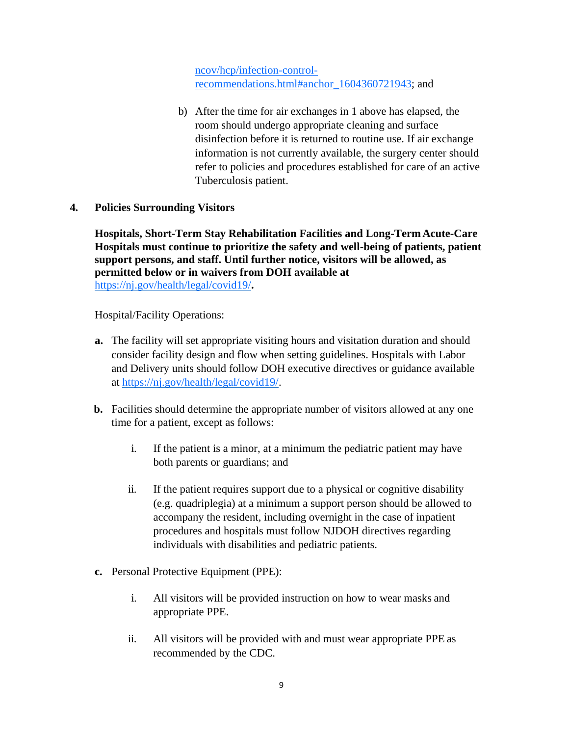[ncov/hcp/infection-control](https://www.cdc.gov/coronavirus/2019-ncov/hcp/infection-control-recommendations.html#anchor_1604360721943)[recommendations.html#anchor\\_1604360721943;](https://www.cdc.gov/coronavirus/2019-ncov/hcp/infection-control-recommendations.html#anchor_1604360721943) and

- b) After the time for air exchanges in 1 above has elapsed, the room should undergo appropriate cleaning and surface disinfection before it is returned to routine use. If air exchange information is not currently available, the surgery center should refer to policies and procedures established for care of an active Tuberculosis patient.
- **4. Policies Surrounding Visitors**

**Hospitals, Short-Term Stay Rehabilitation Facilities and Long-TermAcute-Care Hospitals must continue to prioritize the safety and well-being of patients, patient support persons, and staff. Until further notice, visitors will be allowed, as permitted below or in waivers from DOH available at**  <https://nj.gov/health/legal/covid19/>**.**

Hospital/Facility Operations:

- **a.** The facility will set appropriate visiting hours and visitation duration and should consider facility design and flow when setting guidelines. Hospitals with Labor and Delivery units should follow DOH executive directives or guidance available at [https://nj.gov/health/legal/covid19/.](https://nj.gov/health/legal/covid19/)
- **b.** Facilities should determine the appropriate number of visitors allowed at any one time for a patient, except as follows:
	- i. If the patient is a minor, at a minimum the pediatric patient may have both parents or guardians; and
	- ii. If the patient requires support due to a physical or cognitive disability (e.g. quadriplegia) at a minimum a support person should be allowed to accompany the resident, including overnight in the case of inpatient procedures and hospitals must follow NJDOH directives regarding individuals with disabilities and pediatric patients.
- **c.** Personal Protective Equipment (PPE):
	- i. All visitors will be provided instruction on how to wear masks and appropriate PPE.
	- ii. All visitors will be provided with and must wear appropriate PPE as recommended by the CDC.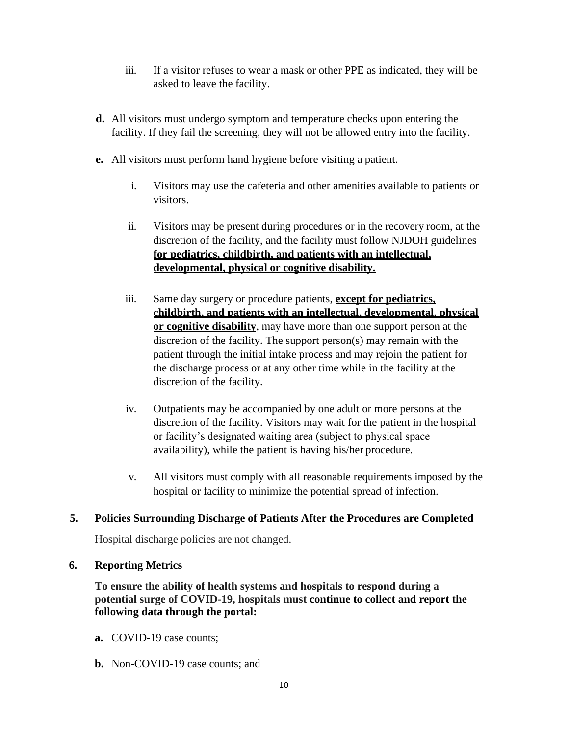- iii. If a visitor refuses to wear a mask or other PPE as indicated, they will be asked to leave the facility.
- **d.** All visitors must undergo symptom and temperature checks upon entering the facility. If they fail the screening, they will not be allowed entry into the facility.
- **e.** All visitors must perform hand hygiene before visiting a patient.
	- i. Visitors may use the cafeteria and other amenities available to patients or visitors.
	- ii. Visitors may be present during procedures or in the recovery room, at the discretion of the facility, and the facility must follow NJDOH guidelines **for pediatrics, childbirth, and patients with an intellectual, developmental, physical or cognitive disability.**
	- iii. Same day surgery or procedure patients, **except for pediatrics, childbirth, and patients with an intellectual, developmental, physical or cognitive disability**, may have more than one support person at the discretion of the facility. The support person(s) may remain with the patient through the initial intake process and may rejoin the patient for the discharge process or at any other time while in the facility at the discretion of the facility.
	- iv. Outpatients may be accompanied by one adult or more persons at the discretion of the facility. Visitors may wait for the patient in the hospital or facility's designated waiting area (subject to physical space availability), while the patient is having his/her procedure.
	- v. All visitors must comply with all reasonable requirements imposed by the hospital or facility to minimize the potential spread of infection.

# **5. Policies Surrounding Discharge of Patients After the Procedures are Completed**

Hospital discharge policies are not changed.

### **6. Reporting Metrics**

**To ensure the ability of health systems and hospitals to respond during a potential surge of COVID-19, hospitals must continue to collect and report the following data through the portal:**

- **a.** COVID-19 case counts;
- **b.** Non-COVID-19 case counts; and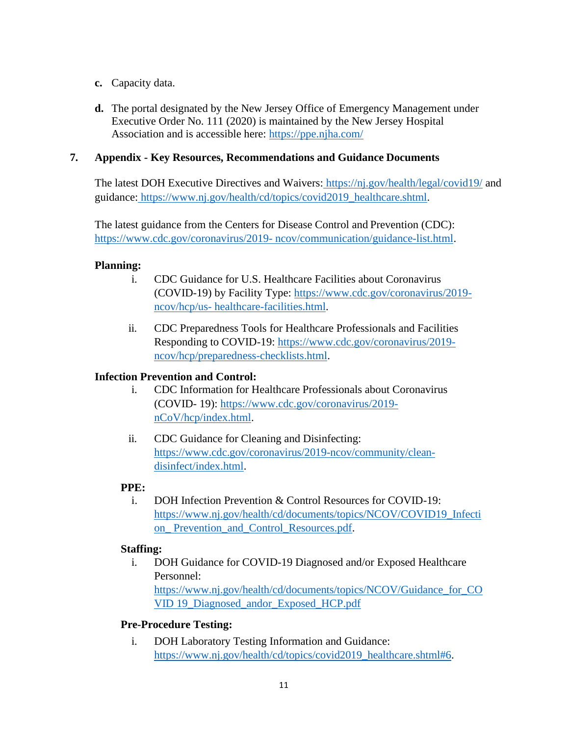- **c.** Capacity data.
- **d.** The portal designated by the New Jersey Office of Emergency Management under Executive Order No. 111 (2020) is maintained by the New Jersey Hospital Association and is accessible here:<https://ppe.njha.com/>

### **7. Appendix - Key Resources, Recommendations and Guidance Documents**

The latest DOH Executive Directives and Waivers: <https://nj.gov/health/legal/covid19/> and guidance: [https://www.nj.gov/health/cd/topics/covid2019\\_healthcare.shtml.](https://www.nj.gov/health/cd/topics/covid2019_healthcare.shtml)

The latest guidance from the Centers for Disease Control and Prevention (CDC): [https://www.cdc.gov/coronavirus/2019-](https://www.cdc.gov/coronavirus/2019-ncov/communication/guidance-list.html) [ncov/communication/guidance-list.html.](https://www.cdc.gov/coronavirus/2019-ncov/communication/guidance-list.html)

### **Planning:**

- i. CDC Guidance for U.S. Healthcare Facilities about Coronavirus (COVID-19) by Facility Type: [https://www.cdc.gov/coronavirus/2019](https://www.cdc.gov/coronavirus/2019-ncov/hcp/us-healthcare-facilities.html) [ncov/hcp/us-](https://www.cdc.gov/coronavirus/2019-ncov/hcp/us-healthcare-facilities.html) [healthcare-facilities.html.](https://www.cdc.gov/coronavirus/2019-ncov/hcp/us-healthcare-facilities.html)
- ii. CDC Preparedness Tools for Healthcare Professionals and Facilities Responding to COVID-19: [https://www.cdc.gov/coronavirus/2019](https://www.cdc.gov/coronavirus/2019-ncov/hcp/preparedness-checklists.html) [ncov/hcp/preparedness-checklists.html.](https://www.cdc.gov/coronavirus/2019-ncov/hcp/preparedness-checklists.html)

# **Infection Prevention and Control:**

- i. CDC Information for Healthcare Professionals about Coronavirus (COVID- 19): [https://www.cdc.gov/coronavirus/2019](https://www.cdc.gov/coronavirus/2019-nCoV/hcp/index.html) [nCoV/hcp/index.html.](https://www.cdc.gov/coronavirus/2019-nCoV/hcp/index.html)
- ii. CDC Guidance for Cleaning and Disinfecting: [https://www.cdc.gov/coronavirus/2019-ncov/community/clean](https://www.cdc.gov/coronavirus/2019-ncov/community/clean-disinfect/index.html)[disinfect/index.html.](https://www.cdc.gov/coronavirus/2019-ncov/community/clean-disinfect/index.html)

# **PPE:**

i. DOH Infection Prevention & Control Resources for COVID-19: [https://www.nj.gov/health/cd/documents/topics/NCOV/COVID19\\_Infecti](https://www.nj.gov/health/cd/documents/topics/NCOV/COVID19_Infection_Prevention_and_Control_Resources.pdf) on Prevention and Control Resources.pdf.

# **Staffing:**

i. DOH Guidance for COVID-19 Diagnosed and/or Exposed Healthcare Personnel: [https://www.nj.gov/health/cd/documents/topics/NCOV/Guidance\\_for\\_CO](https://www.nj.gov/health/cd/documents/topics/NCOV/Guidance_for_COVID19_Diagnosed_andor_Exposed_HCP.pdf) [VID](https://www.nj.gov/health/cd/documents/topics/NCOV/Guidance_for_COVID19_Diagnosed_andor_Exposed_HCP.pdf) [19\\_Diagnosed\\_andor\\_Exposed\\_HCP.pdf](https://www.nj.gov/health/cd/documents/topics/NCOV/Guidance_for_COVID19_Diagnosed_andor_Exposed_HCP.pdf)

# **Pre-Procedure Testing:**

i. DOH Laboratory Testing Information and Guidance: [https://www.nj.gov/health/cd/topics/covid2019\\_healthcare.shtml#6.](https://www.nj.gov/health/cd/topics/covid2019_healthcare.shtml#6)